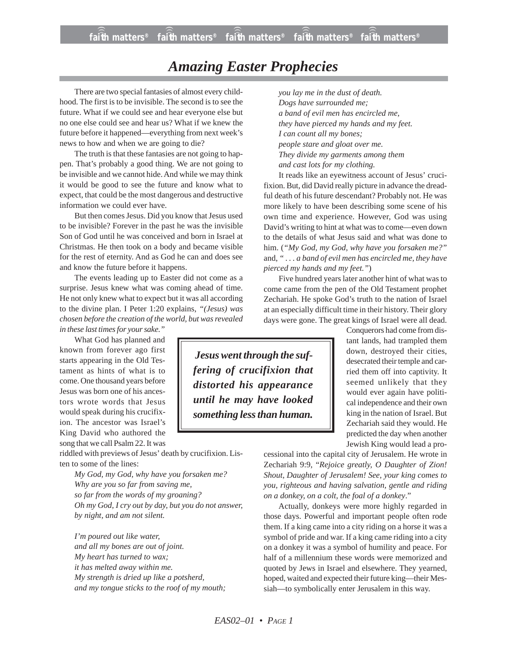## *Amazing Easter Prophecies*

There are two special fantasies of almost every childhood. The first is to be invisible. The second is to see the future. What if we could see and hear everyone else but no one else could see and hear us? What if we knew the future before it happened—everything from next week's news to how and when we are going to die?

The truth is that these fantasies are not going to happen. That's probably a good thing. We are not going to be invisible and we cannot hide. And while we may think it would be good to see the future and know what to expect, that could be the most dangerous and destructive information we could ever have.

But then comes Jesus. Did you know that Jesus used to be invisible? Forever in the past he was the invisible Son of God until he was conceived and born in Israel at Christmas. He then took on a body and became visible for the rest of eternity. And as God he can and does see and know the future before it happens.

The events leading up to Easter did not come as a surprise. Jesus knew what was coming ahead of time. He not only knew what to expect but it was all according to the divine plan. I Peter 1:20 explains, *"(Jesus) was chosen before the creation of the world, but was revealed*

*in these last times for your sake."*

What God has planned and known from forever ago first starts appearing in the Old Testament as hints of what is to come. One thousand years before Jesus was born one of his ancestors wrote words that Jesus would speak during his crucifixion. The ancestor was Israel's King David who authored the song that we call Psalm 22. It was

riddled with previews of Jesus' death by crucifixion. Listen to some of the lines:

*My God, my God, why have you forsaken me? Why are you so far from saving me, so far from the words of my groaning? Oh my God, I cry out by day, but you do not answer, by night, and am not silent.*

*I'm poured out like water, and all my bones are out of joint. My heart has turned to wax; it has melted away within me. My strength is dried up like a potsherd, and my tongue sticks to the roof of my mouth;* *you lay me in the dust of death. Dogs have surrounded me; a band of evil men has encircled me, they have pierced my hands and my feet. I can count all my bones; people stare and gloat over me. They divide my garments among them and cast lots for my clothing.*

It reads like an eyewitness account of Jesus' crucifixion. But, did David really picture in advance the dreadful death of his future descendant? Probably not. He was more likely to have been describing some scene of his own time and experience. However, God was using David's writing to hint at what was to come—even down to the details of what Jesus said and what was done to him. (*"My God, my God, why have you forsaken me?"* and, *" . . . a band of evil men has encircled me, they have pierced my hands and my feet."*)

Five hundred years later another hint of what was to come came from the pen of the Old Testament prophet Zechariah. He spoke God's truth to the nation of Israel at an especially difficult time in their history. Their glory days were gone. The great kings of Israel were all dead.

> Conquerors had come from distant lands, had trampled them down, destroyed their cities, desecrated their temple and carried them off into captivity. It seemed unlikely that they would ever again have political independence and their own king in the nation of Israel. But Zechariah said they would. He predicted the day when another Jewish King would lead a pro-

cessional into the capital city of Jerusalem. He wrote in Zechariah 9:9, "*Rejoice greatly, O Daughter of Zion! Shout, Daughter of Jerusalem! See, your king comes to you, righteous and having salvation, gentle and riding on a donkey, on a colt, the foal of a donkey*."

Actually, donkeys were more highly regarded in those days. Powerful and important people often rode them. If a king came into a city riding on a horse it was a symbol of pride and war. If a king came riding into a city on a donkey it was a symbol of humility and peace. For half of a millennium these words were memorized and quoted by Jews in Israel and elsewhere. They yearned, hoped, waited and expected their future king—their Messiah—to symbolically enter Jerusalem in this way.

*Jesus went through the suffering of crucifixion that distorted his appearance until he may have looked something less than human.*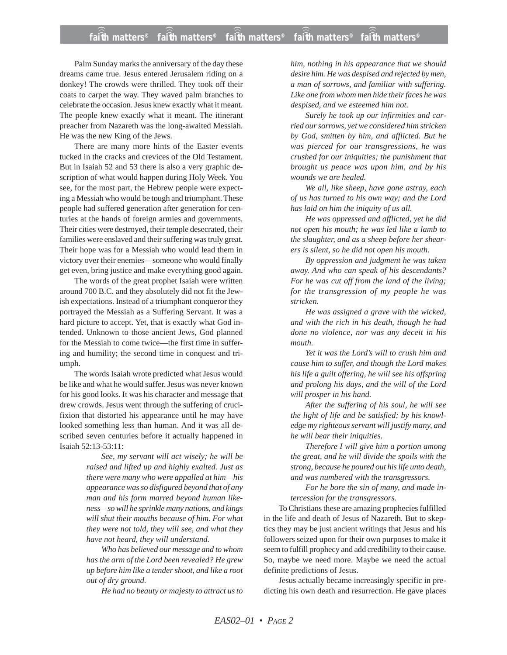## **faith matters® faith matters® faith matters® faith matters® faith matters®** ))) ))) ))) faith matters<sup>®</sup> faith matters

Palm Sunday marks the anniversary of the day these dreams came true. Jesus entered Jerusalem riding on a donkey! The crowds were thrilled. They took off their coats to carpet the way. They waved palm branches to celebrate the occasion. Jesus knew exactly what it meant. The people knew exactly what it meant. The itinerant preacher from Nazareth was the long-awaited Messiah. He was the new King of the Jews.

There are many more hints of the Easter events tucked in the cracks and crevices of the Old Testament. But in Isaiah 52 and 53 there is also a very graphic description of what would happen during Holy Week. You see, for the most part, the Hebrew people were expecting a Messiah who would be tough and triumphant. These people had suffered generation after generation for centuries at the hands of foreign armies and governments. Their cities were destroyed, their temple desecrated, their families were enslaved and their suffering was truly great. Their hope was for a Messiah who would lead them in victory over their enemies—someone who would finally get even, bring justice and make everything good again.

The words of the great prophet Isaiah were written around 700 B.C. and they absolutely did not fit the Jewish expectations. Instead of a triumphant conqueror they portrayed the Messiah as a Suffering Servant. It was a hard picture to accept. Yet, that is exactly what God intended. Unknown to those ancient Jews, God planned for the Messiah to come twice—the first time in suffering and humility; the second time in conquest and triumph.

The words Isaiah wrote predicted what Jesus would be like and what he would suffer. Jesus was never known for his good looks. It was his character and message that drew crowds. Jesus went through the suffering of crucifixion that distorted his appearance until he may have looked something less than human. And it was all described seven centuries before it actually happened in Isaiah 52:13-53:11:

> *See, my servant will act wisely; he will be raised and lifted up and highly exalted. Just as there were many who were appalled at him—his appearance was so disfigured beyond that of any man and his form marred beyond human likeness—so will he sprinkle many nations, and kings will shut their mouths because of him. For what they were not told, they will see, and what they have not heard, they will understand.*

> *Who has believed our message and to whom has the arm of the Lord been revealed? He grew up before him like a tender shoot, and like a root out of dry ground.*

*He had no beauty or majesty to attract us to*

*him, nothing in his appearance that we should desire him. He was despised and rejected by men, a man of sorrows, and familiar with suffering. Like one from whom men hide their faces he was despised, and we esteemed him not.*

*Surely he took up our infirmities and carried our sorrows, yet we considered him stricken by God, smitten by him, and afflicted. But he was pierced for our transgressions, he was crushed for our iniquities; the punishment that brought us peace was upon him, and by his wounds we are healed.*

*We all, like sheep, have gone astray, each of us has turned to his own way; and the Lord has laid on him the iniquity of us all.*

*He was oppressed and afflicted, yet he did not open his mouth; he was led like a lamb to the slaughter, and as a sheep before her shearers is silent, so he did not open his mouth.*

*By oppression and judgment he was taken away. And who can speak of his descendants? For he was cut off from the land of the living; for the transgression of my people he was stricken.*

*He was assigned a grave with the wicked, and with the rich in his death, though he had done no violence, nor was any deceit in his mouth.*

*Yet it was the Lord's will to crush him and cause him to suffer, and though the Lord makes his life a guilt offering, he will see his offspring and prolong his days, and the will of the Lord will prosper in his hand.*

*After the suffering of his soul, he will see the light of life and be satisfied; by his knowledge my righteous servant will justify many, and he will bear their iniquities.*

*Therefore I will give him a portion among the great, and he will divide the spoils with the strong, because he poured out his life unto death, and was numbered with the transgressors.*

*For he bore the sin of many, and made intercession for the transgressors.*

To Christians these are amazing prophecies fulfilled in the life and death of Jesus of Nazareth. But to skeptics they may be just ancient writings that Jesus and his followers seized upon for their own purposes to make it seem to fulfill prophecy and add credibility to their cause. So, maybe we need more. Maybe we need the actual definite predictions of Jesus.

Jesus actually became increasingly specific in predicting his own death and resurrection. He gave places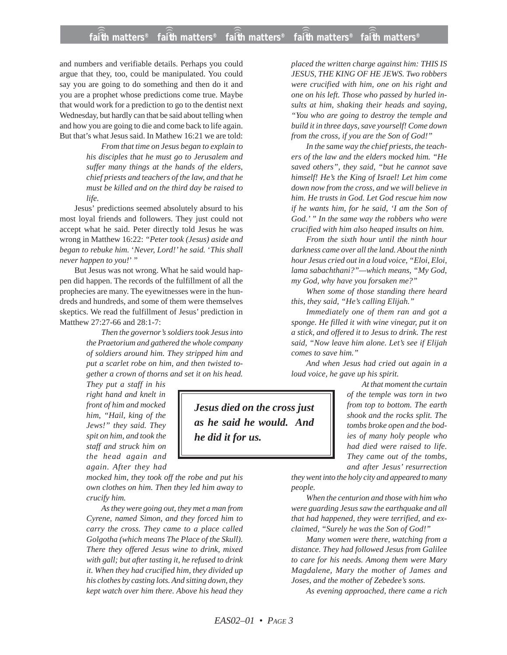and numbers and verifiable details. Perhaps you could argue that they, too, could be manipulated. You could say you are going to do something and then do it and you are a prophet whose predictions come true. Maybe that would work for a prediction to go to the dentist next Wednesday, but hardly can that be said about telling when and how you are going to die and come back to life again. But that's what Jesus said. In Mathew 16:21 we are told:

> *From that time on Jesus began to explain to his disciples that he must go to Jerusalem and suffer many things at the hands of the elders, chief priests and teachers of the law, and that he must be killed and on the third day be raised to life.*

Jesus' predictions seemed absolutely absurd to his most loyal friends and followers. They just could not accept what he said. Peter directly told Jesus he was wrong in Matthew 16:22: *"Peter took (Jesus) aside and began to rebuke him.* '*Never, Lord!' he said.* '*This shall never happen to you!*' "

But Jesus was not wrong. What he said would happen did happen. The records of the fulfillment of all the prophecies are many. The eyewitnesses were in the hundreds and hundreds, and some of them were themselves skeptics. We read the fulfillment of Jesus' prediction in Matthew 27:27-66 and 28:1-7:

> *Then the governor's soldiers took Jesus into the Praetorium and gathered the whole company of soldiers around him. They stripped him and put a scarlet robe on him, and then twisted together a crown of thorns and set it on his head.*

*They put a staff in his right hand and knelt in front of him and mocked him, "Hail, king of the Jews!" they said. They spit on him, and took the staff and struck him on the head again and again. After they had*

*mocked him, they took off the robe and put his own clothes on him. Then they led him away to crucify him.*

*As they were going out, they met a man from Cyrene, named Simon, and they forced him to carry the cross. They came to a place called Golgotha (which means The Place of the Skull). There they offered Jesus wine to drink, mixed with gall; but after tasting it, he refused to drink it. When they had crucified him, they divided up his clothes by casting lots. And sitting down, they kept watch over him there. Above his head they*

*Jesus died on the cross just as he said he would. And he did it for us.*

*placed the written charge against him: THIS IS JESUS, THE KING OF HE JEWS. Two robbers were crucified with him, one on his right and one on his left. Those who passed by hurled insults at him, shaking their heads and saying, "You who are going to destroy the temple and build it in three days, save yourself! Come down from the cross, if you are the Son of God!"*

*In the same way the chief priests, the teachers of the law and the elders mocked him. "He saved others", they said, "but he cannot save himself! He's the King of Israel! Let him come down now from the cross, and we will believe in him. He trusts in God. Let God rescue him now if he wants him, for he said, 'I am the Son of God.' " In the same way the robbers who were crucified with him also heaped insults on him.*

*From the sixth hour until the ninth hour darkness came over all the land. About the ninth hour Jesus cried out in a loud voice, "Eloi, Eloi, lama sabachthani?"—which means, "My God, my God, why have you forsaken me?"*

*When some of those standing there heard this, they said, "He's calling Elijah."*

*Immediately one of them ran and got a sponge. He filled it with wine vinegar, put it on a stick, and offered it to Jesus to drink. The rest said, "Now leave him alone. Let's see if Elijah comes to save him."*

*And when Jesus had cried out again in a loud voice, he gave up his spirit.*

> *At that moment the curtain of the temple was torn in two from top to bottom. The earth shook and the rocks split. The tombs broke open and the bodies of many holy people who had died were raised to life. They came out of the tombs, and after Jesus' resurrection*

*they went into the holy city and appeared to many people.*

*When the centurion and those with him who were guarding Jesus saw the earthquake and all that had happened, they were terrified, and exclaimed, "Surely he was the Son of God!"*

*Many women were there, watching from a distance. They had followed Jesus from Galilee to care for his needs. Among them were Mary Magdalene, Mary the mother of James and Joses, and the mother of Zebedee's sons.*

*As evening approached, there came a rich*